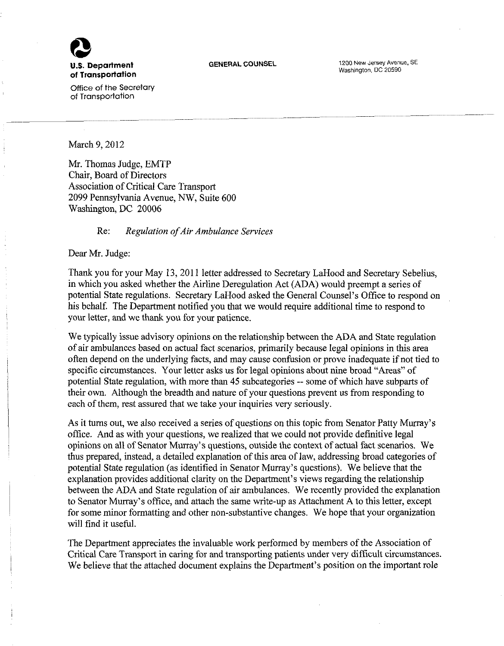

**U.S. Department** GENERAL COUNSEL **1200 New Jersey Avenue, SE** Washington, DC 20590

Office of the Secretary of Transportation

March 9, 2012

Mr. Thomas Judge, EMTP Chair, Board of Directors Association of Critical Care Transport 2099 Pennsylvania Avenue, NW, Suite 600 Washington, DC 20006

# Re: *Regulation of Air Ambulance Services*

Dear Mr. Judge:

Thank you for your May 13, 2011 letter addressed to Secretary LaHood and Secretary Sebelius, in which you asked whether the Airline Deregulation Act (ADA) would preempt a series of potential State regulations. Secretary LaHood asked the General Counsel's Office to respond on his behalf. The Department notified you that we would require additional time to respond to your letter, and we thank you for your patience.

We typically issue advisory opinions on the relationship between the ADA and State regulation of air ambulances based on actual fact scenarios, primarily because legal opinions in this area often depend on the underlying facts, and may cause confusion or prove inadequate if not tied to specific circumstances. Your letter asks us for legal opinions about nine broad "Areas" of potential State regulation, with more than 45 subcategories -- some of which have subparts of their own. Although the breadth and nature of your questions prevent us from responding to each of them, rest assured that we take your inquiries very seriously.

As it turns out, we also received a series of questions on this topic from Senator Patty Murray's office. And as with your questions, we realized that we could not provide definitive legal opinions on all of Senator Murray's questions, outside the context of actual fact scenarios. We thus prepared, instead, a detailed explanation of this area of law, addressing broad categories of potential State regulation (as identified in Senator Murray's questions). We believe that the explanation provides additional clarity on the Department's views regarding the relationship between the ADA and State regulation of air ambulances. We recently provided the explanation to Senator Murray's office, and attach the same write-up as Attachment A to this letter, except for some minor formatting and other non-substantive changes. We hope that your organization will find it useful.

The Department appreciates the invaluable work performed by members of the Association of Critical Care Transport in caring for and transporting patients under very difficult circumstances. We believe that the attached document explains the Department's position on the important role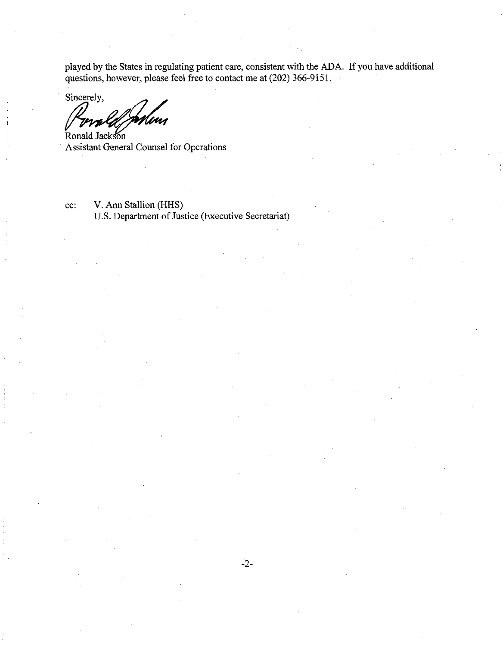played by the States in regulating patient care, consistent with the ADA. If you have additional questions, however, please feel free to contact me at (202) 366-9151.

Sincerely, Ronald Jackson

Assistant General Counsel for Operations

cc: V. Ann Stallion (HHS) U.S. Department of Justice (Executive Secretariat)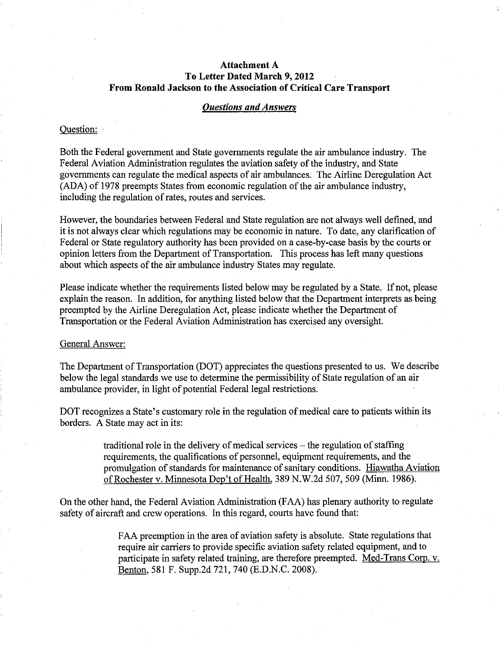# **Attachment A To Letter Dated March 9,2012 From Ronald Jackson to the Association of Critical Care Transport**

# *Questions and Answers*

## Question:

Both the Federal government and State governments regulate the air ambulance industry. The Federal Aviation Administration regulates the aviation safety of the industry, and State governments can regulate the medical aspects of air ambulances. The Airline Deregulation Act (ADA) of 1978 preempts States from economic regulation of the air ambulance industry, including the regulation of rates, routes and services.

However, the boundaries between Federal and State regulation are not always well defined, and it is not always clear which regulations may be economic in nature. To date, any clarification of Federal or State regulatory authority has been provided on a case-by-case basis by the courts or opinion letters from the Department of Transportation. This process has left many questions about which aspects of the air ambulance industry States may regulate.

Please indicate whether the requirements listed below may be regulated by a State. If not, please explain the reason. In addition, for anything listed below that the Department interprets as being preempted by the Airline Deregulation Act, please indicate whether the Department of Transportation or the Federal Aviation Administration has exercised any oversight.

# General Answer:

The Department of Transportation (DOT) appreciates the questions presented to us. We describe below the legal standards we use to determine the permissibility of State regulation of an air ambulance provider, in light of potential Federal legal restrictions.

DOT recognizes a State's customary role in the regulation of medical care to patients within its borders. A State may act in its:

> traditional role in the delivery of medical services  $-$  the regulation of staffing requirements, the qualifications of personnel, equipment requirements, and the promulgation of standards for maintenance of sanitary conditions. Hiawatha Aviation of Rochester v. Minnesota Dep't of Health. 389 N.W.2d 507, 509 (Minn. 1986).

On the other hand, the Federal Aviation Administration (FAA) has plenary authority to regulate safety of aircraft and crew operations. In this regard, courts have found that:

> FAA preemption in the area of aviation safety is absolute. State regulations that require air carriers to provide specific aviation safety related equipment, and to participate in safety related training, are therefore preempted. Med-Trans Corp. v. Benton, 581 F. Supp.2d 721, 740 (E.D.N.C. 2008).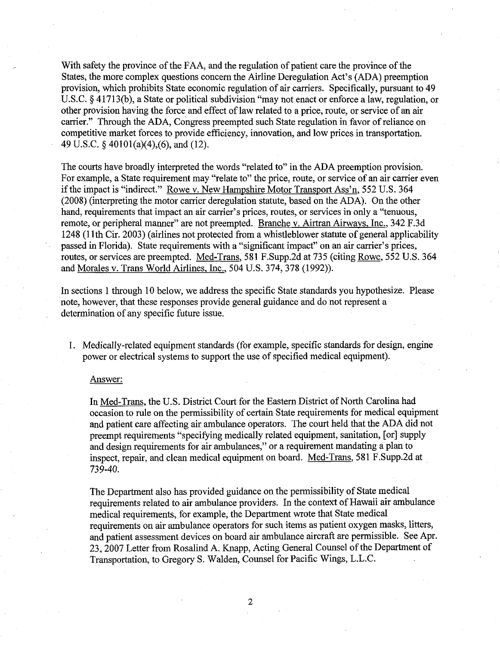With safety the province of the FAA, and the regulation of patient care the province of the States, the more complex questions concern the Airline Deregulation Act's (ADA) preemption provision, which prohibits State economic regulation of air carriers. Specifically, pursuant to 49 U.S.C. § 41713(b), a State or political subdivision "may not enact or enforce a law, regulation, or other provision having the force and effect of law related to a price, route, or service of an air carrier." Through the ADA, Congress preempted such State regulation in favor of reliance on competitive market forces to provide efficiency, innovation, and low prices in transportation. 49 U.S.C. § 40101(a)(4),(6), and (12).

The courts have broadly interpreted the words "related to" in the ADA preemption provision. For example, a State requirement may "relate to" the price, route, or service of an air carrier even if the impact is "indirect." Rowe v. New Hampshire Motor Transport Ass'n. 552 U.S. 364 (2008) (interpreting the motor carrier deregulation statute, based on the ADA). On the other hand, requirements that impact an air carrier's prices, routes, or services in only a "tenuous, remote, or peripheral manner" are not preempted. Branche v. Airtran Airways. Inc.. 342 F.3d 1248 (11th Cir. 2003) (airlines not protected from a whistleblower statute of general applicability passed in Florida). State requirements with a "significant impact" on an air carrier's prices, routes, or services are preempted. Med-Trans. 581 F.Supp.2d at 735 (citing Rowe. 552 U.S. 364 and Morales v. Trans World Airlines. Inc.. 504 U.S. 374, 378 (1992)).

In sections 1 through 10 below, we address the specific State standards you hypothesize. Please note, however, that these responses provide general guidance and do not represent a determination of any specific future issue.

1. Medically-related equipment standards (for example, specific standards for design, engine power or electrical systems to support the use of specified medical equipment).

## Answer:

In Med-Trans. the U.S. District Court for the Eastern District of North Carolina had occasion to rule on the permissibility of certain State requirements for medical equipment and patient care affecting air ambulance operators. The court held that the ADA did not preempt requirements "specifying medically related equipment, sanitation, [or] supply and design requirements for air ambulances," or a requirement mandating a plan to inspect, repair, and clean medical equipment on board. Med-Trans. 581 F.Supp.2d at 739-40.

The Department also has provided guidance on the permissibility of State medical requirements related to air ambulance providers. In the context of Hawaii air ambulance medical requirements, for example, the Department wrote that State medical requirements on air ambulance operators for such items as patient oxygen masks, litters, and patient assessment devices on board air ambulance aircraft are permissible. See Apr. 23, 2007 Letter from Rosalind A. Knapp, Acting General Counsel of the Department of Transportation, to Gregory S. Walden, Counsel for Pacific Wings, L.L.C.

 $\overline{2}$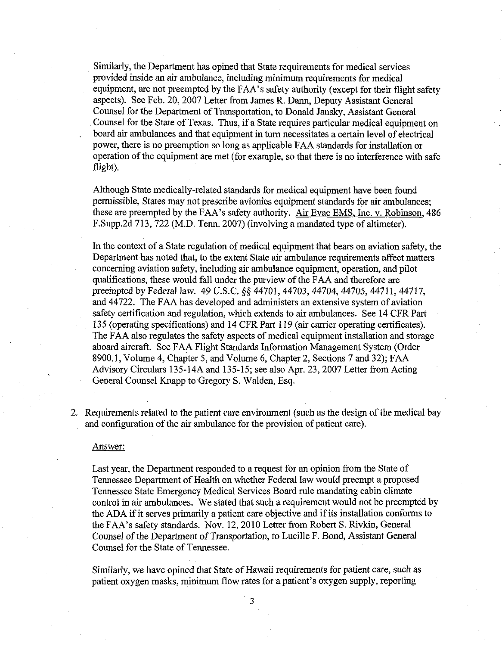Similarly, the Department has opined that State requirements for medical services provided inside an air ambulance, including minimum requirements for medical equipment, are not preempted by the FAA's safety authority (except for their flight safety aspects). See Feb. 20, 2007 Letter from James R. Dann, Deputy Assistant General Counsel for the Department of Transportation, to Donald Jansky, Assistant General Counsel for the State of Texas. Thus, if a State requires particular medical equipment on board air ambulances and that equipment in turn necessitates a certain level of electrical power, there is no preemption so long as applicable FAA standards for installation or operation of the equipment are met (for example, so that there is no interference with safe flight).

Although State medically-related standards for medical equipment have been found permissible, States may not prescribe avionics equipment standards for air ambulances; these are preempted by the FAA's safety authority. Air Evac EMS. Inc. v. Robinson. 486 F.Supp.2d 713, 722 (M.D. Tenn. 2007) (involving a mandated type of altimeter).

In the context of a State regulation of medical equipment that bears on aviation safety, the Department has noted that, to the extent State air ambulance requirements affect matters concerning aviation safety, including air ambulance equipment, operation, and pilot qualifications, these would fall under the purview of the FAA and therefore are preempted by Federal law. 49 U.S.C. §§ 44701, 44703, 44704, 44705, 44711, 44717, and 44722. The FAA has developed and administers an extensive system of aviation safety certification and regulation, which extends to air ambulances. See 14 CFR Part 135 (operating specifications) and 14 CFR Part 119 (air carrier operating certificates). The FAA also regulates the safety aspects of medical equipment installation and storage aboard aircraft. See FAA Flight Standards Information Management System (Order 8900.1, Volume 4, Chapter 5, and Volume 6, Chapter 2, Sections 7 and 32); FAA Advisory Circulars 135-14A and 135-15; see also Apr. 23, 2007 Letter from Acting General Counsel Knapp to Gregory S. Walden, Esq.

2. Requirements related to the patient care environment (such as the design of the medical bay and configuration of the air ambulance for the provision of patient care).

#### Answer:

Last year, the Department responded to a request for an opinion from the State of Tennessee Department of Health on whether Federal law would preempt a proposed Tennessee State Emergency Medical Services Board rule mandating cabin climate control in air ambulances. We stated that such a requirement would not be preempted by the ADA if it serves primarily a patient care objective and if its installation conforms to the FAA's safety standards. Nov. 12, 2010 Letter from Robert S. Rivkin, General Counsel of the Department of Transportation, to Lucille F. Bond, Assistant General Counsel for the State of Tennessee.

Similarly, we have opined that State of Hawaii requirements for patient care, such as patient oxygen masks, minimum flow rates for a patient's oxygen supply, reporting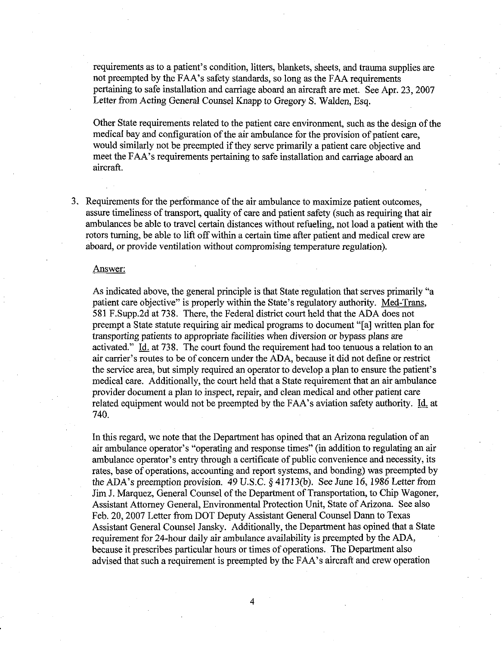requirements as to a patient's condition, litters, blankets, sheets, and trauma supplies are not preempted by the FAA's safety standards, so long as the FAA requirements pertaining to safe installation and carriage aboard an aircraft are met. See Apr. 23, 2007 Letter from Acting General Counsel Knapp to Gregory S. Walden, Esq.

Other State requirements related to the patient care environment, such as the design of the medical bay and configuration of the air ambulance for the provision of patient care, would similarly not be preempted if they serve primarily a patient care objective and meet the FAA's requirements pertaining to safe installation and carriage aboard an aircraft.

3. Requirements for the performance of the air ambulance to maximize patient outcomes, assure timeliness of transport, quality of care and patient safety (such as requiring that air ambulances be able to travel certain distances without refueling, not load a patient with the rotors turning, be able to lift off within a certain time after patient and medical crew are aboard, or provide ventilation without compromising temperature regulation).

## Answer:

As indicated above, the general principle is that State regulation that serves primarily "a patient care objective" is properly within the State's regulatory authority. Med-Trans, 581 F.Supp.2d at 738. There, the Federal district court held that the ADA does not preempt a State statute requiring air medical programs to document "[a] written plan for transporting patients to appropriate facilities when diversion or bypass plans are activated." Id. at 738. The court found the requirement had too tenuous a relation to an air carrier's routes to be of concern under the ADA, because it did not define or restrict the service area, but simply required an operator to develop a plan to ensure the patient's medical care. Additionally, the court held that a State requirement that an air ambulance provider document a plan to inspect, repair, and clean medical and other patient care related equipment would not be preempted by the FAA's aviation safety authority. Id. at 740.

In this regard, we note that the Department has opined that an Arizona regulation of an air ambulance operator's "operating and response times" (in addition to regulating an air ambulance operator's entry through a certificate of public convenience and necessity, its rates, base of operations, accounting and report systems, and bonding) was preempted by the ADA's preemption provision. 49 U.S.C. § 41713(b). See June 16,1986 Letter from Jim J. Marquez, General Counsel of the Department of Transportation, to Chip Wagoner, Assistant Attorney General, Environmental Protection Unit, State of Arizona. See also Feb. 20, 2007 Letter from DOT Deputy Assistant General Counsel Dann to Texas Assistant General Counsel Jansky. Additionally, the Department has opined that a State requirement for 24-hour daily air ambulance availability is preempted by the ADA, because it prescribes particular hours or times of operations. The Department also advised that such a requirement is preempted by the FAA's aircraft and crew operation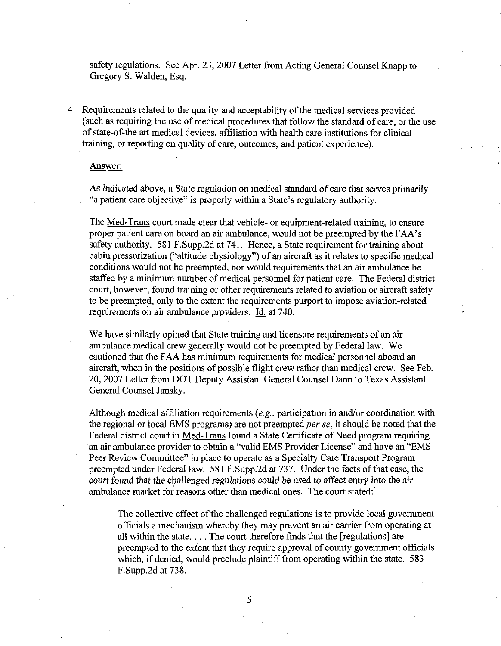safety regulations. See Apr. 23, 2007 Letter from Acting General Counsel Knapp to Gregory S. Walden, Esq.

4. Requirements related to the quality and acceptability of the medical services provided (such as requiring the use of medical procedures that follow the standard of care, or the use of state-of-the art medical devices, affiliation with health care institutions for clinical training, or reporting on quality of care, outcomes, and patient experience).

### Answer:

As indicated above, a State regulation on medical standard of care that serves primarily "a patient care objective" is properly within a State's regulatory authority.

The Med-Trans court made clear that vehicle- or equipment-related training, to ensure proper patient care on board an air ambulance, would not be preempted by the FAA's safety authority. 581 F.Supp.2d at 741. Hence, a State requirement for training about cabin pressurization ("altitude physiology") of an aircraft as it relates to specific medical conditions would not be preempted, nor would requirements that an air ambulance be staffed by a minimum number of medical personnel for patient care. The Federal district court, however, found training or other requirements related to aviation or aircraft safety to be preempted, only to the extent the requirements purport to impose aviation-related requirements on air ambulance providers. Id. at 740.

We have similarly opined that State training and licensure requirements of an air ambulance medical crew generally would not be preempted by Federal law. We cautioned that the FAA has minimum requirements for medical personnel aboard an aircraft, when in the positions of possible flight crew rather than medical crew. See Feb. 20, 2007 Letter from DOT Deputy Assistant General Counsel Dann to Texas Assistant General Counsel Jansky.

Although medical affiliation requirements (e.g., participation in and/or coordination with the regional or local EMS programs) are not preempted *per se,* it should be noted that the Federal district court in Med-Trans found a State Certificate of Need program requiring an air ambulance provider to obtain a "valid EMS Provider License" and have an "EMS Peer Review Committee" in place to operate as a Specialty Care Transport Program preempted under Federal law. 581 F.Supp.2d at 737. Under the facts of that case, the court found that the challenged regulations could be used to affect entry into the air ambulance market for reasons other than medical ones. The court stated:

The collective effect of the challenged regulations is to provide local government officials a mechanism whereby they may prevent an air carrier from operating at all within the state.... The court therefore finds that the [regulations] are preempted to the extent that they require approval of county government officials which, if denied, would preclude plaintiff from operating within the state. 583 F.Supp.2d at 738.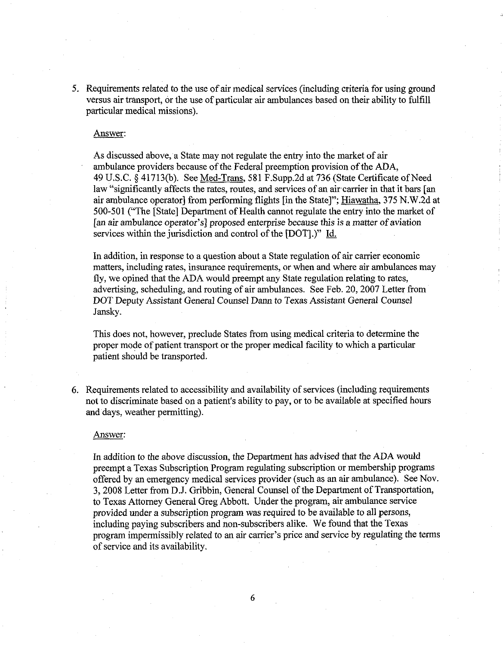5. Requirements related to the use of air medical services (including criteria for using ground versus air transport, or the use of particular air ambulances based on their ability to fulfill particular medical missions).

#### Answer:

As discussed above, a State may not regulate the entry into the market of air ambulance providers because of the Federal preemption provision of the ADA, 49 U.S.C. § 41713(b). See Med-Trans, 581 F.Supp.2d at 736 (State Certificate of Need law "significantly affects the rates, routes, and services of an air carrier in that it bars [an air ambulance operator] from performing flights [in the State]"; Hiawatha, 375 N.W.2d at 500-501 ("The [State] Department of Health cannot regulate the entry into the market of [an air ambulance operator's] proposed enterprise because this is a matter of aviation services within the jurisdiction and control of the [DOT].)" Id.

In addition, in response to a question about a State regulation of air carrier economic matters, including rates, insurance requirements, or when and where air ambulances may fly, we opined that the ADA would preempt any State regulation relating to rates, advertising, scheduling, and routing of air ambulances. See Feb. 20, 2007 Letter from DOT Deputy Assistant General Counsel Dann to Texas Assistant General Counsel Jansky.

This does not, however, preclude States from using medical criteria to determine the proper mode of patient transport or the proper medical facility to which a particular patient should be transported.

6. Requirements related to accessibility and availability of services (including requirements not to discriminate based on a patient's ability to pay, or to be available at specified hours and days, weather permitting).

## Answer:

In addition to the above discussion, the Department has advised that the ADA would preempt a Texas Subscription Program regulating subscription or membership programs offered by an emergency medical services provider (such as an air ambulance). See Nov. 3, 2008 Letter from D.J. Gribbin, General Counsel of the Department of Transportation, to Texas Attorney General Greg Abbott. Under the program, air ambulance service provided under a subscription program was required to be available to all persons, including paying subscribers and non-subscribers alike. We found that the Texas program impermissibly related to an air carrier's price and service by regulating the terms of service and its availability.

6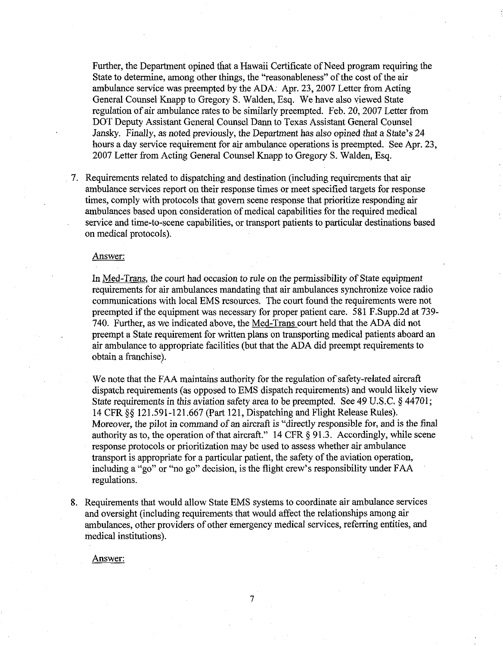Further, the Department opined that a Hawaii Certificate of Need program requiring the State to determine, among other things, the "reasonableness" of the cost of the air ambulance service was preempted by the ADA. Apr. 23, 2007 Letter from Acting General Counsel Knapp to Gregory S. Walden, Esq. We have also viewed State regulation of air ambulance rates to be similarly preempted. Feb. 20, 2007 Letter from DOT Deputy Assistant General Counsel Dann to Texas Assistant General Counsel Jansky. Finally, as noted previously, the Department has also opined that a State's 24 hours a day service requirement for air ambulance operations is preempted. See Apr. 23, 2007 Letter from Acting General Counsel Knapp to Gregory S. Walden, Esq.

7. Requirements related to dispatching and destination (including requirements that air ambulance services report on their response times or meet specified targets for response times, comply with protocols that govern scene response that prioritize responding air ambulances based upon consideration of medical capabilities for the required medical service and time-to-scene capabilities, or transport patients to particular destinations based on medical protocols).

### Answer:

In Med-Trans, the court had occasion to rule on the permissibility of State equipment requirements for air ambulances mandating that air ambulances synchronize voice radio communications with local EMS resources. The court found the requirements were not preempted if the equipment was necessary for proper patient care. 581 F.Supp.2d at 739- 740. Further, as we indicated above, the Med-Trans court held that the ADA did not preempt a State requirement for written plans on transporting medical patients aboard an air ambulance to appropriate facilities (but that the ADA did preempt requirements to obtain a franchise^.

We note that the FAA maintains authority for the regulation of safety-related aircraft dispatch requirements (as opposed to EMS dispatch requirements) and would likely view State requirements in this aviation safety area to be preempted. See 49 U.S.C. § 44701; 14 CFR §§ 121.591-121.667 (Part 121, Dispatching and Flight Release Rules). Moreover, the pilot in command of an aircraft is "directly responsible for, and is the final authority as to, the operation of that aircraft." 14 CFR § 91.3. Accordingly, while scene response protocols or prioritization may be used to assess whether air ambulance transport is appropriate for a particular patient, the safety of the aviation operation, including a "go" or "no go" decision, is the flight crew's responsibility under FAA regulations.

8. Requirements that would allow State EMS systems to coordinate air ambulance services and oversight (including requirements that would affect the relationships among air ambulances, other providers of other emergency medical services, referring entities, and medical institutions).

7

Answer: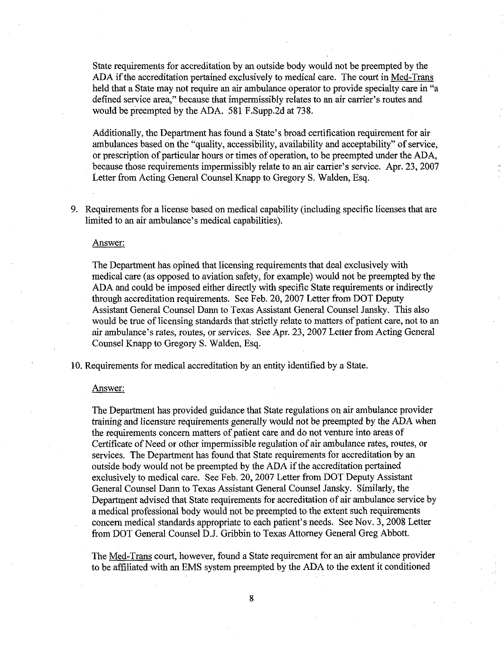State requirements for accreditation by an outside body would not be preempted by the ADA if the accreditation pertained exclusively to medical care. The court in Med-Trans held that a State may not require an air ambulance operator to provide specialty care in "a defined service area," because that impermissibly relates to an air carrier's routes and would be preempted by the ADA. 581 F.Supp.2d at 738.

Additionally, the Department has found a State's broad certification requirement for air ambulances based on the "quality, accessibility, availability and acceptability" of service, or prescription of particular hours or times of operation, to be preempted under the ADA, because those requirements impermissibly relate to an air carrier's service. Apr. 23, 2007 Letter from Acting General Counsel Knapp to Gregory S. Walden, Esq.

9. Requirements for a license based on medical capability (including specific licenses that are limited to an air ambulance's medical capabilities).

## Answer:

The Department has opined that licensing requirements that deal exclusively with medical care (as opposed to aviation safety, for example) would not be preempted by the ADA and could be imposed either directly with specific State requirements or indirectly through accreditation requirements. See Feb. 20, 2007 Letter from DOT Deputy Assistant General Counsel Dann to Texas Assistant General Counsel Jansky. This also would be true of licensing standards that strictly relate to matters of patient care, not to an air ambulance's rates, routes, or services. See Apr. 23, 2007 Letter from Acting General Counsel Knapp to Gregory S. Walden, Esq.

10. Requirements for medical accreditation by an entity identified by a State.

## Answer:

The Department has provided guidance that State regulations on air ambulance provider training and licensure requirements generally would not be preempted by the ADA when the requirements concern matters of patient care and do not venture into areas of Certificate of Need or other impermissible regulation of air ambulance rates, routes, or services. The Department has found that State requirements for accreditation by an outside body would not be preempted by the ADA if the accreditation pertained exclusively to medical care. See Feb. 20, 2007 Letter from DOT Deputy Assistant General Counsel Dann to Texas Assistant General Counsel Jansky. Similarly, the Department advised that State requirements for accreditation of air ambulance service by a medical professional body would not be preempted to the extent such requirements concern medical standards appropriate to each patient's needs. See Nov. 3, 2008 Letter from DOT General Counsel D.J. Gribbin to Texas Attorney General Greg Abbott.

The Med-Trans court, however, found a State requirement for an air ambulance provider to be affiliated with an EMS system preempted by the ADA to the extent it conditioned

8